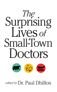# *The* Surprising Lives *of* Small-Town Doctors

AR OD E

*edited by* Dr. Paul Dhillon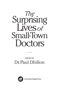

EDITED BY Dr. Paul Dhillon

•••



Jniversity of Regina Press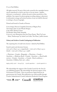#### © 2016 Paul Dhillon

All rights reserved. No part of this work covered by the copyrights hereon may be reproduced or used in any form or by any means—graphic, electronic, or mechanical—without the prior written permission of the publisher. Any request for photocopying, recording, taping, or placement in information storage and retrieval systems of any sort shall be directed in writing to Access Copyright.

Printed and bound in Canada at Friesens.

Cover design: Duncan Campbell, University of Regina Press Text design: John van der Woude Designs Copy editor: Kirsten Craven Proofreader: Katie Doke Sawatzky Cover art: cover illustrations from the Noun Project: "Bear" by Loren Klein; "Stethoscope" by André Luis Gollo; "Sea Plane," public domain.

#### **Library and Archives Canada Cataloguing in Publication**

The surprising lives of small-town doctors / edited by Paul Dhillon.

Issued in print and electronic formats. isbn 978-0-88977-431-5 (paperback).—isbn 978-0-88977-433-9 (html).—isbn 978-0-88977-432-2 (pdf )

1. Physicians—Canada—Biography. 2. Physicians—Canada— Anecdotes. 3. Medicine, Rural—Canada—Anecdotes. 4. Rural health services—Canada—Anecdotes. 5. Canada—Rural conditions— Anecdotes. I. Dhillon, Paul 1981-, editor

r464.a1s87 2016 610.92'271 c2016-900160-1 c2016-900161-x

We acknowledge the support of the Canada Council for the Arts for our publishing program. We acknowledge the financial support of the Government of Canada. / Nous reconnaissons l'appui financier du gouvernement du Canada. This publication was made possible through Creative Saskatchewan's Creative Industries Production Grant Program.





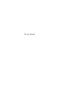*To my Sarah*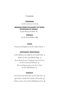**Contents** 

#### FOREWORD

by Dr. Lawrence Loh **ix**

#### MESSAGE FROM THE SOCIETY OF RURAL PHYSICIANS OF CANADA

by Dr. Braam de Klerk **xi**

#### PREFACE

by Dr. Paul Dhillon **xiii**

#### YUKON

*Friends and Neighbours* by Dr. Aedes Scheer **1**

#### NORTHWEST TERRITORIES

*In the Middle of the Night* by Dr. Sarah Giles **5**  *Whack!* by Dr. AnneMarie Pegg **11** *Arctic Data Streams: Graphing Land and Love* by Dr. Courtney Howard **15** *Fear and Fantasy above the Arctic Circle* by Dr. Adil Shamji **21**

#### NUNAVUT

*Do Not Feed the Polar Bears* by Dr. Kyle Sue **27** *Igloo House Call* by Dr. Charlie O'Connell **33** *A Room with a View* by Dr. Madeleine Cole **36**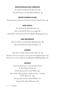#### NEWFOUNDLAND AND LABRADOR

*The Gambo Gamble* by Dr. Kyle Sue **40** *Invisible Resources* by Dr. Kelly Anderson **45**

#### PRINCE EDWARD ISLAND

*Interpretations of Opioids and Raccoons* by Dr. Nicole Fancy **49**

#### NOVA SCOTIA

*Toy Truck* by Dr. Monika Dutt **55** *Puss in Boot* by Dr. Peter Loveridge **60** *Dental Floss and Good Teeth* by Dr. Mythri Kappagantula **63**

#### NEW BRUNSWICK

*Between Deliveries* by Dr. Kate MacKeracher **69** *Big and Small* by Dr. Danit Fischtein **72**

#### **OUEBEC**

*I Am Not a Cowboy Doctor* by Dr. Danie Ty **79** *Rendez-vous avec ta carrière à 14 h, aujourd'hui/Appointment with Your Career at 2 pm, Today* by Dr. Baijayanta Mukhopadhyay **85**

#### ONTARIO

*Call of the North (a.k.a. The Uninvited Guest)* by Dr. Fahreen Dossa **92** *North Ontario* by Dr. Clare Ward **101** *Horse Kicks, Talking Heads, and Bear Chases—Oh My!* by Dr. Danie Ty **105** *Chasing Moose* by Dr. Chetan Mehta **111** *Bingo* by Dr. Aamir Bharmal **120**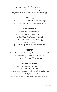*Veterinary Tales* by Dr. Geordie Fallis **126** *The Student* by Dr. James Yan **130** *I Figured It Would Be Easy* by Dr. Dan Eickmeier **135**

#### MANITOBA

*No More Training Wheels* by Dr. Aleem Jamal **139** *The Best Years of My Life* by Dr. Sandra Wiebe **146**

#### SASKATCHEWAN

*Monty* by Dr. Lewis Draper **153** *Death Is Closer Here* by Dr. Paul Dhillon **161** *Catch and Release* by Dr. Ryan Meili **166** *A Rural Return* by Dr. Kevin Wasko **174** *Making Mistakes* by Dr. Ankit Kapur with Dr. Puneet Kapur **180**

#### **ALBERTA**

*Darkest Day* and *The Mermaid* by Dr. Anna-Kristen Siy **186** *100-Year Flood* by Dr. Kristine Woodley **192** *To Maury* by Dr. Joseph Westgeest **197**

#### BRITISH COLUMBIA

*John Prine, Loneliness, and a Heart Attack* by Dr. Andrew Lodge **201** *Goldibear and the Four Anglers* by Dr. Julia Low Ah Kee **206** *Instant Immersion* by Dr. Warren Bell **211** *Where the Buck Stops* by Dr. Robert James Henderson **218**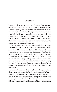## Foreword

It is estimated that nearly 60 per cent of humankind will live in an area defined as urban by the year 2030. Not unsurprisingly, there has been a growing focus on the relationship between urbanization and health; our cities are busier, more auto-dependent, and more isolating than ever, which has driven up rates of chronic disease, mental health concerns, and societal upheaval. As economic and cultural drivers, cities attract enormous amounts of attention from governments to ensure that their contribution to nation-states continues uninterrupted.

Yet for countries like Canada, it is impossible for us to forget the swathes of population that live in remote and rural areas. From the vast frontiers of the Arctic and the North to the lush farmland of southern Ontario and the Prairies, Canadians by and large are defined as much by the hardy men and women in Prince Rupert and Cape Breton as they are by the frenetic pace of Toronto and Calgary. History, economics, and policy continue to sculpt the flows by which Canadians migrate, work, live, and play in our vast and diverse country, and these factors in turn influence their health and the nature of the health care they receive.

As a third-year medical student, I drove through northern Ontario to a rural rotation in family medicine and public health in Kenora, Ontario—a beautiful town where Winnipeg was the city, and where you could follow up your suspect flu cases just by shopping in the local Safeway. Rural living provided me with a different perspective on Canadian culture, history, and potential,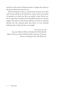and also on the essence of human nature. I imagine the stories in this book will do the same for you.

We are fortunate to live in a nation that, for those of us who call it home, affords us the freedom to choose from any number of tapestries on which our lives can unfold—from Arctic tundra to untouched coastlines, from boundless prairies to concrete jungles. The stories in this book celebrate not only our national identity but the national spirit that drives us ever forward, believing that in diversity lies our strength.

#### *—Dr. Lawrence Loh*

Associate Medical Officer of Health, Peel Public Health Adjunct Professor, Clinical Public Health, University of Toronto Director of Programs, The 53rd Week Ltd.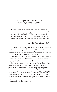### Message from the Society of Rural Physicians of Canada

*A need to tell and hear stories is essential to the species* Homo sapiens*—second in necessity apparently after nourishment and before love and shelter. Millions survive without love or home, almost none in silence; the opposite of silence leads quickly to narrative, and the sound of story is the dominant sound of our lives.*

*—*Reynolds Price*, A Palpable God*

Rural Canada is a breeding ground for stories. Rural medicine is a fertile breeding ground for stories. When rural doctors and patients get together, stories abound. When rural doctors get together, the telling of stories becomes epidemic.

Patients use stories to illustrate their problems. An old trapper once told me, "I can still write my name in the snow when I pee, but it's awfully close to my toes!"

Doctors use stories to help patients understand their diagnosis, treatment, and recovery. Inuit relate easily when told, "If your son stops barking like a seal, his croup is getting better."

Doctors tell stories to other doctors to share adventures and experiences. The Society of Rural Physicians of Canada (SRPC) is the national voice of Canadian rural physicians. Founded in 1992, the SRPC's mission is to provide leadership for rural physicians and to promote sustainable conditions and equitable health care for rural communities.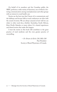On behalf of its members and the Canadian public, the SRPC performs a wide variety of functions, one of which is fostering communication among rural physicians and other groups with an interest in rural health care.

Stories are the best way that I know of to communicate, and the hallways and lecture halls at rural conferences are alive with the sound of stories. We are always amazed at how well we can relate to other rural docs, whether Australian, South African, Kiwi, Pacific Islander, or many others. It is shared experiences and shared stories that make this happen.

I trust the stories in this book will contribute to the great practice of rural medicine and the even greater practice of storytelling.

> *—Dr. Braam de Klerk, CM, MB, ChB* Past President Society of Rural Physicians of Canada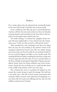## Preface

For a writer, where does the physical book emotionally begin? In the case of this book, I remember the moment exactly.

It was a chilly but clear-blue-sky day in rural Saskatchewan. A phone call from the nurse had awoken me from my Saturday morning slumber and I trundled over the short drive to the hospital to see the patient who needed some care.

"It's really nothing," I overheard the sprightly ninety-twoyear-old state emphatically as I was ushered into the examination room. "I don't see why you had to call back the doctor."

After introductions were exchanged, and sleep was wiped from my eyes, the story leading to the patient's arrival at the emergency department became clear. She was simply chasing away some stray cats from the milk she was putting outside for her cats and had slipped and fallen on her wooden steps. The resulting fall had not broken anything but had shorn a large area of tissue-paper skin off of her shin. As I was crouched down on the floor, carefully examining the large defect, I began some peripheral chatter about her living conditions and social circumstances. Surely she was not living out in a small wooden home in the middle of the prairies on her own at her age?

She continued her story as I patched and quilted my way around the wound, trying to repair the damage. She had been a war bride, had a life full of harsh winters punctuated with mosquito-ridden summers, had experienced immigrating to a new land, with all its pain and suffering and loss, and now had children scattered across Canada.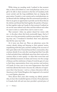While doing my mending work, I realized in that moment that, as alone and isolated as a new rural physician can be, it is a gift to be able to share moments in the lives of Canadians, both recent arrivals and the long-established, that are shaping this great nation. Canada is a vast country, and as rural physicians, we are blessed with the challenges that this environment provides, in that we are given an opportunity to provide care for those that are the stitches and thread that bind together the patches of humanity that together make up Canada. In that moment I realized we are not the same without each other, and that without each other we cease to exist as a nation from coast to coast to coast.

That moment—when my patient shared her stories with me—is the place where this book emotionally began. And as I wrote out on her preventative medicine prescription, "stop chasing stray cats," I wondered if elsewhere there were physicians that felt the same way I did.

As it turns out, there are. There are physicians across the country silently sitting and listening to their patients' stories, empathizing with their pain, and then smiling at the successes of their quiet daily work. Unnoted beyond their communities, they continue silently. It was only after searching hard that I was able to find and pluck these individuals away from their work and to convince them to write openly—to share their secret fears and their individual moments of clarity and victory over the scourge of disease and the misfortune of injury. It took the guts of a year to find them, representatives from every province and territory of Canada. In some cases it was more happenstance than hard work that allowed this book to become the collection of experiences that it has become—such as a chance discussion with an American in the United Kingdom who happened to be married to a rural Quebec physician.

Now, almost three years after treating my elderly patient's shin, we have this wonderful tapestry of stories. Forty physicians in Canada, both old and new, have provided a pivotal piece of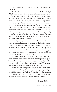the ongoing narrative of what it means to be a rural physician in Canada.

Ultimately, however, the question must be asked—but why? Why is it important to share these stories? Are they of any value?

That question begins in the mind of the physician-writer and is answered by your thoughts today. Personally, I believe there is an intrinsic and therapeutic benefit to the physician as a human being to be able to express and share their thoughts with the interested public, which allows for both internal and, much needed, external reflection. Physicians are sometimes seen as being above the remit of normal emotions and life; should we not cry every single time we deliver bad news? In reality, though, we are human and suffer from pain like our patients. We have doubts and fears. We don't know everything. And we are tasked with some very difficult decisions.

Hopefully, through this book we are able to not only share those feelings and emotions with others in the healing professions but also with our most gifted assets, our patients. This book would not have been possible without the trust our patients place in our hands each and every day we go to work. Thank you for sharing your moments, your pain, and your stories with us; together, we are richer for the experience.

This project also would not have come to fruition without the thoughtful and respectably harsh comments provided by Dr. Tommy Gerschman. His comments are a reminder that behind the stories told by each physician lays a network of friends and family without whom these stories would never be told.

Lastly, names, identifying details, and places may have been fictionalized and/or changed in order to protect the privacy and rights of individuals throughout the book. In lieu of any royalty payments, the editor and the authors have agreed that all such proceeds shall go to *Médecins Sans Frontières*/Doctors Without Borders.

#### *—Dr. Paul Dhillon*

Dr. Paul Dhillon ••• xv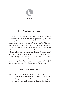

# Dr. Aedes Scheer

*Aedes Scheer was raised on a farm in southern Alberta and decided to become a veterinarian rather than a doctor after watching* Star Trek *and seeing the character Dr. Leonard McCoy treat multiple species. She became an animal health technologist, obtained a B.Sc., then tacked on a professional teaching certificate. She taught high school math and science for a few years and during this time she went to the Yukon Territory for a six-week vacation. Twenty-five years later, she still calls the Yukon home. While living in Dawson City, she provided veterinary assistance to the community, as there was no local vet; worked as a mosquito biologist (earning the nickname "Aedes"); served on city council; volunteered for the ambulance service; and started a humane society. She decided at age forty-two to go to medical school and began working as a GP in Dawson City in January 2013.*

# Friends and Neighbours

After several years of living and working in Dawson City in the Yukon, I decided to return to school to become a doctor. My accommodating husband and I did the long-distance thing for six years and, as I intended, returned to Dawson City. Prior to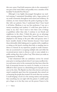this new career, I had held numerous roles in the community. I was part of the town's fabric and possibly even a member of the heralded "Colourful Five Percent."

Although it was highly discouraged throughout my medical training, I maintained friendships with a large portion of my small community throughout med school and residency. As students, we were warned about the perils of getting too familiar with our patients. Sure, I understand that; I have heard it all before. Medicine is not my first profession. I was not a twenty-something med student—I could have given birth to many in my class—but I tend to view these sorts of things as guidelines rather than rules. I continue to see friends and neighbours in the clinic. I think this gives me an advantage when assessing patients. I know their "normal" because I see it displayed in the lineup at the post office and grocery store. I know sizeable chunks of their histories because I have heard these informally while helping put in a garden with a neighbour or sitting on the bench coaching their kids or standing next to them at a funeral. In my experience, people in small communities are accustomed to occupying multiple roles and while the occasional person wants to discuss a rash or some malady in a public setting, they clue in when I say, "How about you make an appointment on Monday?"

I had volunteered with our ambulance service for several years prior to starting medical school. I saw many excellent doctors and nurses arrive in the community but then leave when the lack of anonymity became too much of a burden, or it was too difficult to find a spouse in a diminishing pool of people not yet seen in the clinic. The flipside was that when doctors and nurses stayed completely apart from the townspeople, they missed out on knowing the people they treated. On more than one occasion I recall bringing a local in to the nursing station and reporting that something was not right with the patient. I couldn't quite put a finger on it, but they were not the person I knew in the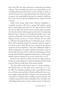day to day. This was often dismissed as interesting but lacking evidence. And, inevitably, the person was medevacked out for something that just needed time to evolve. It began to dawn on me that because I was comfortable living in the small town, plus my spouse was comfortable living there too, maybe I could learn how to be a doctor, and then possibly become a doctor who did not leave.

Small towns being small towns, Dawson's population is somewhat incestuous. We have a saying, "fall together, spring apart"; relationships often form for the cold months but break up once the light and warmth returns and the greener pastures of transient summer workers appear around town. Consequently, Dawson City is tolerant of nontraditional families and a wide spectrum of lifestyles. I first learned about this when I was providing veterinary services on a house-call basis and was asked to euthanize the aging family pet. I would show up to a diverse house full of grieving people all associated with the doggy I was about to put to sleep. By the time I packed up my bag and expressed my last sympathies, I had some additional insight to all the combinations of couples and kids who had been a part of the dog's life. The years of house calls and comforting pet owners have provided valuable background information, as well as ample bedside-manner training, for me in my current role as a GP.

However, just when you think you have the upper hand, do not get too smug. Medicine is utterly humbling and will remind you how little you really know. Even about yourself.

One day, while newly back in town as a doctor working a twenty-four-hour, on-call shift every second day (a "1-in-2 on-call"), the ambulance pulled up with a good friend of mine on-car. He was weak and short of breath and found to be in a narrow complex tachycardia. Bob is a big guy in his mid-forties with a past history of hypertension, smoking, and heart disease with a stubborn paroxysmal cardiac arrhythmia. His vital signs were still holding strong and we tried a couple of doses of adenosine.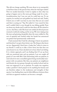This did not change anything. We were about to try metoprolol, as had been done in the past for him, when his vital signs tanked. Now we needed electricity. I tried to explain to him what was going to happen next as the nurse got things ready for an electrocardioversion, but I was not sure he could hear me. To my surprise, he reached out and grabbed my hand and said, "Aedes, I know you so well I can hear in your voice that you are scared and that is scaring me." Yep. He nailed it. I was scared for him and I couldn't hide it, even though he was failing quickly. Tears ran down my cheeks and I could not shut them off. He started to cry too. And then, voila! His heart rate settled, his blood pressure resumed a textbook reading, and he sat up. We were wiping away the tears and grinning sheepishly when the nurse walked in. She sort of squinted and clucked under her breath but announced our patient had spontaneously cardioverted.

I had assumed that I had the advantage; I know my patients and therefore I can give them better care. The thing is, they know me too. Apparently, I don't have a "poker face" when it comes to my friends. I could try to fake a brave front, but that does not seem honest to me. I have decided not to bury what I am feeling. It is a better approach, and I am finding that if I am up front with my emotional state and my patients, I am not caught off guard as I was with Bob. Like fraternizing with our patients, in med school we were counselled against being emotionally transparent with our patients. But then, my patients are neighbours and friends, the very group of people my medical school said we were not supposed to see as patients. So maybe two negatives make a positive? I don't purport to be anything but human and am therefore subject to the weaknesses and strengths of that species. I am finding there may be little difference between these and that an apparent weakness can become a strength.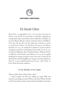

NORTHWEST TERRITORIES

# Dr. Sarah Giles

*Sarah Giles is a geographical error—she was born and raised in Toronto—but she likes to say she hides it well! After completing an undergraduate degree and medical school at Dalhousie in Halifax, she moved to Thunder Bay for residency in family medicine at McMaster University. She has spent the past eight years working as a locum in northwestern Ontario, the Northwest Territories, and Western Australia. In 2013, she completed her diploma in tropical medicine and hygiene and almost immediately put those skills to work in 2014 working for* Médecins Sans Frontières*/Doctors Without Borders in Myanmar, South Sudan, and Pakistan. In 2015 she successfully challenged the emergency medicine exam. She writes a column for the Medical Post called* YoungMD *and a blog for Canadian Healthcare Network (www.canadianhealthcarenetwork.ca) called* Point of Care: where life meets medicine.

# In the Middle of the Night

"Doctor Giles! *Doctor* Giles! *Doctor Giles!*"

I tried to figure out who was calling my name. Why was someone screaming my name? Where were they? Where the hell was I? It was all too much to process from the depths of my sleep.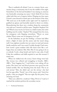Then it suddenly all clicked. I was in a remote Arctic community doing a community visit. It was the middle of the night. Somewhere in the bed and breakfast I was staying at, someone was frantically screaming my name. I don't think I'd ever been called with that sort of urgency before. Flinging my door open, I found a man dressed in winter gear at the bottom of the stairs. "We need you at the health centre right now!" he implored. I grabbed my glasses and hurriedly started to throw on clothes. Remembering that there was a resident doing the community visit with me, I started to yell his name. "Stephan! Stephan! Get up!" Which room was he in? Screw it, it didn't matter, the entire building must be awake. "*Stephan!*" He emerged from his room, his outrageous curls flopping everywhere. "Throw on some clothes! There's some sort of emergency. Let's go!"

In the Suburban, we got the briefing: a woman had fallen down a flight of stairs and the nurses said she wasn't doing well. I was eighteen months into my career in rural and remote family medicine and I was scared. Luckily, though, I had somehow scored a great resident (who felt much more like a colleague than my student). Shit. Shit. Shit. It was going to be us or nobody. I took a deep breath and tried to stay calm. Could I fake the confidence and skills required to save this woman? I wasn't sure.

When we walked into the room, I knew things were bad. The woman was collared and struggling to breathe. ABCs. ABCs. "Start bagging her," I said before even taking off my jacket. Her heart rate and blood pressure were good, but she looked terrible. She was bleeding from the head. "Put in an oral airway." Shit, she didn't spit out the airway—she had lost her gag reflex. "Sarah," one of the nurses said, "check her pupils—they are sluggish." She was right. By this point, I was swearing out loud.

"Have you called for a medevac? Okay, I'll do it," I said as I watched the resident perform the secondary survey.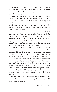"We will need to intubate this patient. What drugs do we have?" I had just done the Difficult Airways Course in Boston and was ready to use all the fancy drugs, but none of them were in the tiny health centre.

"Ativan and midazolam" was the reply to my question. Neither of those drugs was on my algorithm for intubation.

As I spoke to the doctor at the referral centre, requesting a medevac, he told me there was actually one on its way to a neighbouring community and that they could reroute it. The critical care nurse and paramedic would have all the drugs we needed. I sighed in relief.

"Sarah, the patient's blood pressure is getting really high. And have you noticed that one side of her chest is much higher than the other? I think she has a pneumothorax. I can't hear breath sounds on one side." I thanked my lucky stars for having an amazing resident. We quickly needle decompressed the patient's chest—the "whoosh" of air was just like they said it was going to be in the textbooks—and her vitals stabilized.

Within ten minutes of calling for a medevac in a remote Arctic community, I had the flight team by my side with drugs drawn up. "My angels with wings!" I cried as they had entered the building. That sort of response time is unheard of in remote regions of Canada. Perhaps things would be okay after all?

As I sized up the patient for intubation, I knew it was going to be tricky. As a staff person, I hadn't actually intubated anyone and now I faced a collared patient! Using the bougie and scrounging up all residual courage, I got the tube on the first try. A wave of relief flooded my body. I realized that I had sweat through my clothes.

"Sarah, the patient's BP is going up again and I can't find the catheter we used for the needle decompression. I think it fell out." *Shit*.

"Repeat the needle decompression and prepare for a chest tube," I told the resident, chastising myself for having failed to better secure the catheter.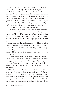I called the regional trauma centre to let them know about the patient I was sending them. "It doesn't look good."

With the chest tube, endotracheal tube, Foley catheter, and multiple IVs in place, men from the community carried the patient, on the stretcher piled high with a ventilator and tubing, out to the plane. I breathed a sigh of selfish relief—we had gotten the patient out of the community and she was alive, but I knew that she likely didn't have long to live. She would get a CT scan and then the doctors in the big centre would deal with whatever needed to be done. I had done my part.

But I wasn't actually done. A few hours later, I received a call from the doctor at the referral centre. The patient's injuries were not compatible with life. A decision had been made to send the patient back to her home community so she could be extubated and die surrounded by her family. I begrudgingly accepted the patient—I was not sure what sort of care she would need and I was concerned that the tiny health centre would not be able to meet her palliative needs. Although I understood the desire for the patient to come home, I also desperately wanted to sleep. I wanted the problem to go away. I was exhausted and had used all my skills to keep her alive, and now I was being asked to do the opposite.

As the medevac team touched down in the community once again, people began to flood into the health centre. There were more people than I could count. Once again, they lovingly carried their friend and relative over the snow and into the health centre. I addressed the family, who then asked me to address the crowd.

"Mrs. Smith has suffered a severe brain injury. Right now, she is only alive because the machines are breathing for her and supporting her vital organs. The family believes that she should be allowed to die a natural death. I will give you all time to say your goodbyes to her before we remove the machines. Once the machines are removed, she may continue to live, but I do not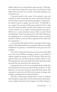think it will be for very long. Please, take your time." I felt helpless. I had tried to keep this woman alive, we all had, but I had failed. And now there was an entire community looking at me. I wanted to run.

I removed myself to the corner of the patient's room and watched as what seemed like the entire community filed past her bed. After everyone had said their goodbyes, a family member asked everyone to gather into the room. "I would like to say a prayer," he announced. His prayer asked for God to take care of his family member and the usual sentiments one hears in this situation. As an atheist, I listened quietly and respectfully but in a rather detached manner. That is, until I heard the following: "And, God, thank you for Dr. Giles. Thank you for bringing her to us and for allowing her to give our family member a chance at survival. We are grateful for her effort and her compassion."

I was stunned. The family and the community weren't angry with me. They didn't think I was incompetent. They were actually thankful for my presence. I wondered how such grace was even possible.

As I tried to discreetly brush away my tears, the people filed out of the room. Without needing to speak to one another, I quietly stopped the pump for the IV pressors. With that, the patient's heart rate and blood pressure quickly rushed to zero. We extubated her and removed all of the tubes that had invaded her body. She was returned to her natural state.

I opened the door to the room and informed the family that she had died the moment we turned off the machines. As they filed past me, the men shook my hand. My body shook with attempts to control my sobs. They were, however, no longer sobs of shame and failure but of relief and thanks.

That day, I realized that perhaps there is more to medicine than saving lives, especially in remote environments where physicians usually aren't present. If we happen to be there and give a